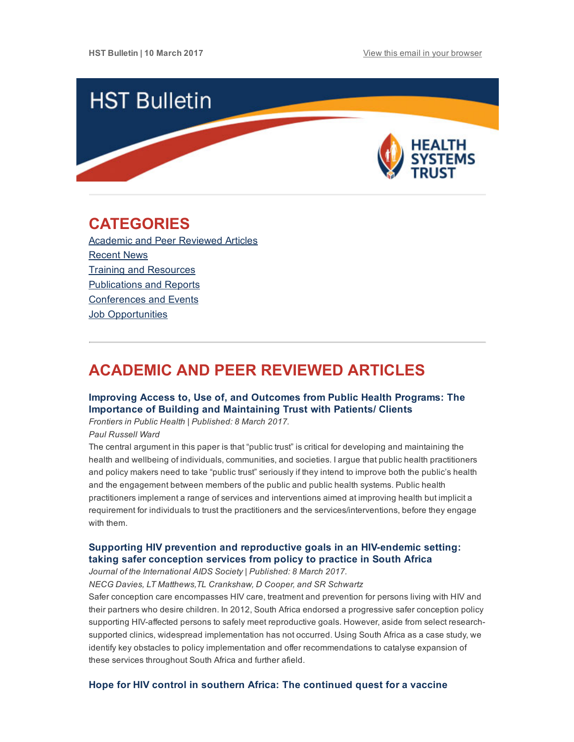

# <span id="page-0-1"></span>CATEGORIES

Academic and Peer [Reviewed](#page-0-0) Articles [Recent](#page-2-0) News Training and [Resources](#page-3-0) [Publications](#page-4-0) and Reports [Conferences](#page-4-1) and Events **Job [Opportunities](#page-4-2)** 

# <span id="page-0-0"></span>ACADEMIC AND PEER REVIEWED ARTICLES

# Improving Access to, Use of, and Outcomes from Public Health Programs: The Importance of Building and [Maintaining](http://journal.frontiersin.org/article/10.3389/fpubh.2017.00022/full) Trust with Patients/ Clients

Frontiers in Public Health | Published: 8 March 2017.

Paul Russell Ward

The central argument in this paper is that "public trust" is critical for developing and maintaining the health and wellbeing of individuals, communities, and societies. I argue that public health practitioners and policy makers need to take "public trust" seriously if they intend to improve both the public's health and the engagement between members of the public and public health systems. Public health practitioners implement a range of services and interventions aimed at improving health but implicit a requirement for individuals to trust the practitioners and the services/interventions, before they engage with them.

# Supporting HIV prevention and [reproductive](http://www.heard.org.za/wp-content/uploads/2017/03/Supporting-HIV-prevention-and-reproductive-goals-in-an-HIV-endemic-setting.pdf) goals in an HIVendemic setting: taking safer conception services from policy to practice in South Africa

Journal of the International AIDS Society | Published: 8 March 2017.

NECG Davies, LT Matthews,TL Crankshaw, D Cooper, and SR Schwartz

Safer conception care encompasses HIV care, treatment and prevention for persons living with HIV and their partners who desire children. In 2012, South Africa endorsed a progressive safer conception policy supporting HIV-affected persons to safely meet reproductive goals. However, aside from select researchsupported clinics, widespread implementation has not occurred. Using South Africa as a case study, we identify key obstacles to policy implementation and offer recommendations to catalyse expansion of these services throughout South Africa and further afield.

### Hope for HIV control in southern Africa: The [continued](http://journals.plos.org/plosmedicine/article?id=10.1371/journal.pmed.1002241) quest for a vaccine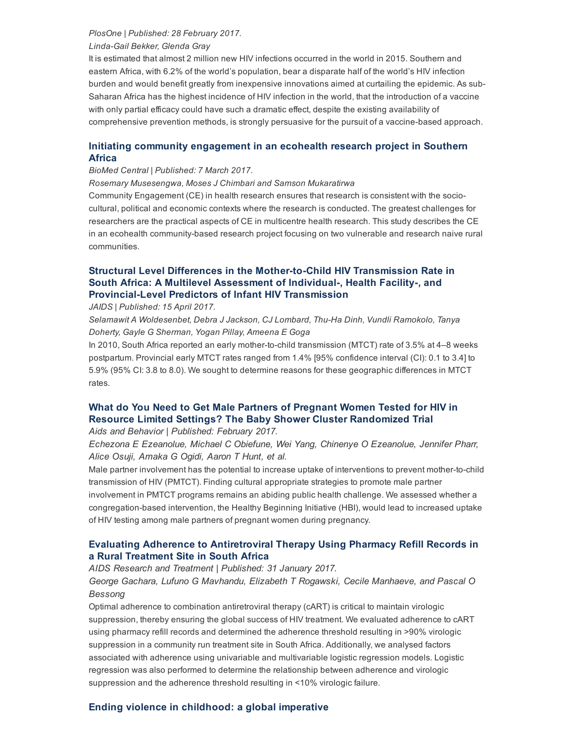#### PlosOne | Published: 28 February 2017.

#### Linda-Gail Bekker, Glenda Gray

It is estimated that almost 2 million new HIV infections occurred in the world in 2015. Southern and eastern Africa, with 6.2% of the world's population, bear a disparate half of the world's HIV infection burden and would benefit greatly from inexpensive innovations aimed at curtailing the epidemic. As sub-Saharan Africa has the highest incidence of HIV infection in the world, that the introduction of a vaccine with only partial efficacy could have such a dramatic effect, despite the existing availability of comprehensive prevention methods, is strongly persuasive for the pursuit of a vaccine-based approach.

# Initiating community [engagement](http://idpjournal.biomedcentral.com/articles/10.1186/s40249-016-0231-9) in an ecohealth research project in Southern Africa

#### BioMed Central | Published: 7 March 2017.

Rosemary Musesengwa, Moses J Chimbari and Samson Mukaratirwa

Community Engagement (CE) in health research ensures that research is consistent with the sociocultural, political and economic contexts where the research is conducted. The greatest challenges for researchers are the practical aspects of CE in multicentre health research. This study describes the CE in an ecohealth community-based research project focusing on two vulnerable and research naive rural communities.

# Structural Level Differences in the Mother-to-Child HIV Transmission Rate in South Africa: A Multilevel Assessment of Individual, Health Facility, and **Provincial-Level Predictors of Infant HIV Transmission**

JAIDS | Published: 15 April 2017.

Selamawit A Woldesenbet, Debra J Jackson, CJ Lombard, Thu-Ha Dinh, Vundli Ramokolo, Tanya Doherty, Gayle G Sherman, Yogan Pillay, Ameena E Goga

In 2010, South Africa reported an early mother-to-child transmission (MTCT) rate of 3.5% at 4–8 weeks postpartum. Provincial early MTCT rates ranged from 1.4% [95% confidence interval (CI): 0.1 to 3.4] to 5.9% (95% CI: 3.8 to 8.0). We sought to determine reasons for these geographic differences in MTCT rates.

# What do You Need to Get Male Partners of Pregnant Women Tested for HIV in Resource Limited Settings? The Baby Shower Cluster [Randomized](https://link.springer.com/article/10.1007%2Fs10461-016-1626-0) Trial

Aids and Behavior | Published: February 2017.

Echezona E Ezeanolue, Michael C Obiefune, Wei Yang, Chinenye O Ezeanolue, Jennifer Pharr, Alice Osuji, Amaka G Ogidi, Aaron T Hunt, et al.

Male partner involvement has the potential to increase uptake of interventions to prevent mother-to-child transmission of HIV (PMTCT). Finding cultural appropriate strategies to promote male partner involvement in PMTCT programs remains an abiding public health challenge. We assessed whether a congregation-based intervention, the Healthy Beginning Initiative (HBI), would lead to increased uptake of HIV testing among male partners of pregnant women during pregnancy.

# Evaluating Adherence to [Antiretroviral](https://www.hindawi.com/journals/art/2017/5456219/) Therapy Using Pharmacy Refill Records in a Rural Treatment Site in South Africa

AIDS Research and Treatment | Published: 31 January 2017. George Gachara, Lufuno G Mavhandu, Elizabeth T Rogawski, Cecile Manhaeve, and Pascal O Bessong

Optimal adherence to combination antiretroviral therapy (cART) is critical to maintain virologic suppression, thereby ensuring the global success of HIV treatment. We evaluated adherence to cART using pharmacy refill records and determined the adherence threshold resulting in >90% virologic suppression in a community run treatment site in South Africa. Additionally, we analysed factors associated with adherence using univariable and multivariable logistic regression models. Logistic regression was also performed to determine the relationship between adherence and virologic suppression and the adherence threshold resulting in <10% virologic failure.

## Ending violence in [childhood:](http://www.tandfonline.com/doi/full/10.1080/13548506.2017.1287409) a global imperative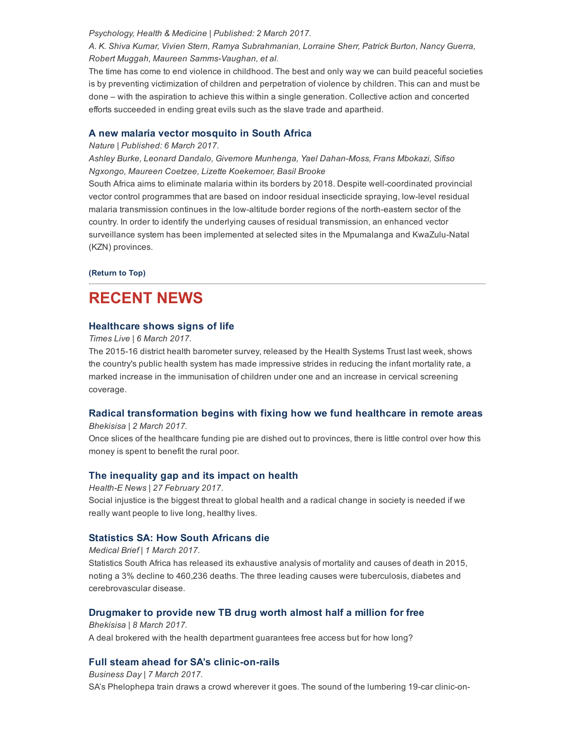#### Psychology, Health & Medicine | Published: 2 March 2017.

A. K. Shiva Kumar, Vivien Stern, Ramya Subrahmanian, Lorraine Sherr, Patrick Burton, Nancy Guerra, Robert Muggah, Maureen Samms-Vaughan, et al.

The time has come to end violence in childhood. The best and only way we can build peaceful societies is by preventing victimization of children and perpetration of violence by children. This can and must be done – with the aspiration to achieve this within a single generation. Collective action and concerted efforts succeeded in ending great evils such as the slave trade and apartheid.

### A new malaria vector [mosquito](http://www.readcube.com/articles/10.1038/srep43779) in South Africa

#### Nature | Published: 6 March 2017.

Ashley Burke, Leonard Dandalo, Givemore Munhenga, Yael Dahan-Moss, Frans Mbokazi, Sifiso Ngxongo, Maureen Coetzee, Lizette Koekemoer, Basil Brooke

South Africa aims to eliminate malaria within its borders by 2018. Despite well-coordinated provincial vector control programmes that are based on indoor residual insecticide spraying, lowlevel residual malaria transmission continues in the low-altitude border regions of the north-eastern sector of the country. In order to identify the underlying causes of residual transmission, an enhanced vector surveillance system has been implemented at selected sites in the Mpumalanga and KwaZulu-Natal (KZN) provinces.

[\(Return](#page-0-1) to Top)

# <span id="page-2-0"></span>RECENT NEWS

### [Healthcare](http://www.timeslive.co.za/thetimes/2017/03/06/Healthcare-shows-signs-of-life) shows signs of life

Times Live | 6 March 2017.

The 2015-16 district health barometer survey, released by the Health Systems Trust last week, shows the country's public health system has made impressive strides in reducing the infant mortality rate, a marked increase in the immunisation of children under one and an increase in cervical screening coverage.

## Radical [transformation](http://www.hst.org.za/news/radical-transformation-begins-fixing-how-we-fund-healthcare-remote-areas) begins with fixing how we fund healthcare in remote areas

Bhekisisa | 2 March 2017.

Once slices of the healthcare funding pie are dished out to provinces, there is little control over how this money is spent to benefit the rural poor.

## The [inequality](http://www.hst.org.za/news/inequality-gap-and-its-impact-health) gap and its impact on health

Health-E News | 27 February 2017. Social injustice is the biggest threat to global health and a radical change in society is needed if we really want people to live long, healthy lives.

## [Statistics](http://www.hst.org.za/news/statistics-sa-how-south-africans-die) SA: How South Africans die

Medical Brief | 1 March 2017. Statistics South Africa has released its exhaustive analysis of mortality and causes of death in 2015, noting a 3% decline to 460,236 deaths. The three leading causes were tuberculosis, diabetes and cerebrovascular disease.

## [Drugmaker](http://www.hst.org.za/news/drugmaker-provide-new-tb-drug-worth-almost-half-million-free) to provide new TB drug worth almost half a million for free

Bhekisisa | 8 March 2017. A deal brokered with the health department guarantees free access but for how long?

## Full steam ahead for SA's clinic-on-rails

Business Day | 7 March 2017. SA's Phelophepa train draws a crowd wherever it goes. The sound of the lumbering 19-car clinic-on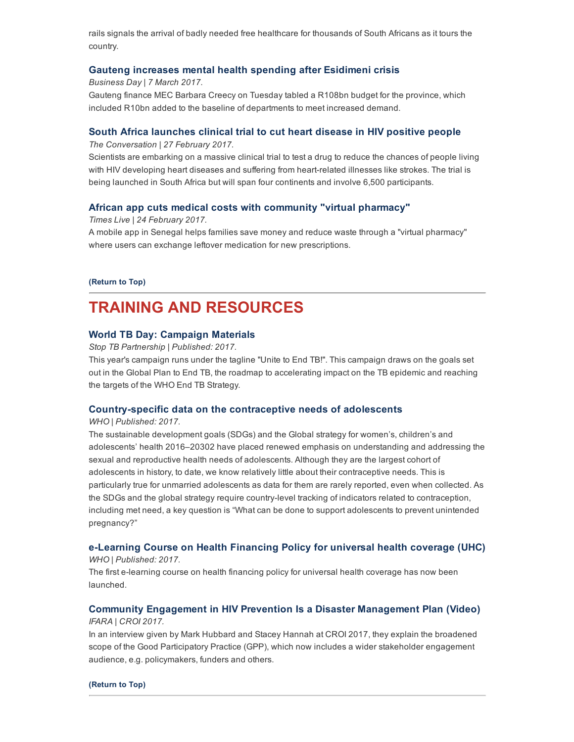rails signals the arrival of badly needed free healthcare for thousands of South Africans as it tours the country.

### Gauteng increases mental health spending after [Esidimeni](http://www.hst.org.za/news/gauteng-increases-mental-health-spending-after-esidimeni-crisis) crisis

Business Day | 7 March 2017.

Gauteng finance MEC Barbara Creecy on Tuesday tabled a R108bn budget for the province, which included R10bn added to the baseline of departments to meet increased demand.

#### South Africa [launches](http://www.hst.org.za/news/south-africa-launches-clinical-trial-cut-heart-disease-hiv-positive-people) clinical trial to cut heart disease in HIV positive people

The Conversation | 27 February 2017.

Scientists are embarking on a massive clinical trial to test a drug to reduce the chances of people living with HIV developing heart diseases and suffering from heart-related illnesses like strokes. The trial is being launched in South Africa but will span four continents and involve 6,500 participants.

#### African app cuts medical costs with [community](http://www.hst.org.za/news/african-app-cuts-medical-costs-community-virtual-pharmacy) "virtual pharmacy"

Times Live | 24 February 2017.

A mobile app in Senegal helps families save money and reduce waste through a "virtual pharmacy" where users can exchange leftover medication for new prescriptions.

[\(Return](#page-0-1) to Top)

# <span id="page-3-0"></span>TRAINING AND RESOURCES

#### World TB Day: [Campaign](http://www.stoptb.org/events/world_tb_day/2017/materials.asp) Materials

Stop TB Partnership | Published: 2017.

This year's campaign runs under the tagline "Unite to End TB!". This campaign draws on the goals set out in the Global Plan to End TB, the roadmap to accelerating impact on the TB epidemic and reaching the targets of the WHO End TB Strategy.

#### Country-specific data on the contraceptive needs of adolescents

WHO | Published: 2017.

The sustainable development goals (SDGs) and the Global strategy for women's, children's and adolescents' health 2016–20302 have placed renewed emphasis on understanding and addressing the sexual and reproductive health needs of adolescents. Although they are the largest cohort of adolescents in history, to date, we know relatively little about their contraceptive needs. This is particularly true for unmarried adolescents as data for them are rarely reported, even when collected. As the SDGs and the global strategy require country-level tracking of indicators related to contraception, including met need, a key question is "What can be done to support adolescents to prevent unintended pregnancy?"

### [eLearning](http://www.who.int/health_financing/training/e-learning-course-on-health-financing-policy-for-uhc/en/?utm_content=bufferb2614&utm_medium=social&utm_source=facebook.com&utm_campaign=buffer) Course on Health Financing Policy for universal health coverage (UHC) WHO | Published: 2017.

The first e-learning course on health financing policy for universal health coverage has now been launched.

# Community Engagement in HIV Prevention Is a Disaster [Management](http://www.thebodypro.com/content/79477/community-engagement-in-hiv-prevention-is-a-disast.html) Plan (Video) IFARA | CROI 2017.

In an interview given by Mark Hubbard and Stacey Hannah at CROI 2017, they explain the broadened scope of the Good Participatory Practice (GPP), which now includes a wider stakeholder engagement audience, e.g. policymakers, funders and others.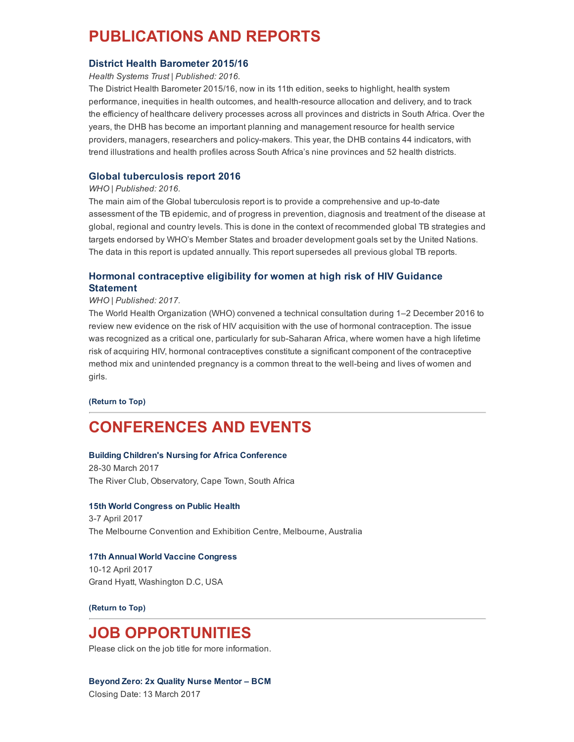# <span id="page-4-0"></span>PUBLICATIONS AND REPORTS

#### District Health [Barometer](http://www.hst.org.za/publications/district-health-barometer-201516-0) 2015/16

Health Systems Trust | Published: 2016.

The District Health Barometer 2015/16, now in its 11th edition, seeks to highlight, health system performance, inequities in health outcomes, and health-resource allocation and delivery, and to track the efficiency of healthcare delivery processes across all provinces and districts in South Africa. Over the years, the DHB has become an important planning and management resource for health service providers, managers, researchers and policy-makers. This year, the DHB contains 44 indicators, with trend illustrations and health profiles across South Africa's nine provinces and 52 health districts.

## Global [tuberculosis](http://www.hst.org.za/publications/global-tuberculosis-report-2016) report 2016

#### WHO | Published: 2016.

The main aim of the Global tuberculosis report is to provide a comprehensive and up-to-date assessment of the TB epidemic, and of progress in prevention, diagnosis and treatment of the disease at global, regional and country levels. This is done in the context of recommended global TB strategies and targets endorsed by WHO's Member States and broader development goals set by the United Nations. The data in this report is updated annually. This report supersedes all previous global TB reports.

# Hormonal [contraceptive](http://www.hst.org.za/publications/hormonal-contraceptive-eligibility-women-high-risk-hiv-guidance-statement) eligibility for women at high risk of HIV Guidance **Statement**

#### WHO | Published: 2017.

The World Health Organization (WHO) convened a technical consultation during 1–2 December 2016 to review new evidence on the risk of HIV acquisition with the use of hormonal contraception. The issue was recognized as a critical one, particularly for sub-Saharan Africa, where women have a high lifetime risk of acquiring HIV, hormonal contraceptives constitute a significant component of the contraceptive method mix and unintended pregnancy is a common threat to the well-being and lives of women and girls.

[\(Return](#page-0-1) to Top)

# <span id="page-4-1"></span>CONFERENCES AND EVENTS

#### Building Children's Nursing for Africa [Conference](http://www.hst.org.za/events/building-childrens-nursing-africa-conference)

28-30 March 2017 The River Club, Observatory, Cape Town, South Africa

#### 15th World [Congress](http://www.hst.org.za/events/15th-world-congress-public-health) on Public Health

3-7 April 2017 The Melbourne Convention and Exhibition Centre, Melbourne, Australia

### 17th Annual World Vaccine [Congress](http://www.hst.org.za/events/17th-annual-world-vaccine-congress)

10-12 April 2017 Grand Hyatt, Washington D.C, USA

[\(Return](#page-0-1) to Top)

# <span id="page-4-2"></span>JOB OPPORTUNITIES

Please click on the job title for more information.

#### [Beyond](http://www.hst.org.za/jobs/corporate-services-unit-fleet-interns) Zero: 2x Quality Nurse Mentor – BCM

Closing Date: 13 March 2017